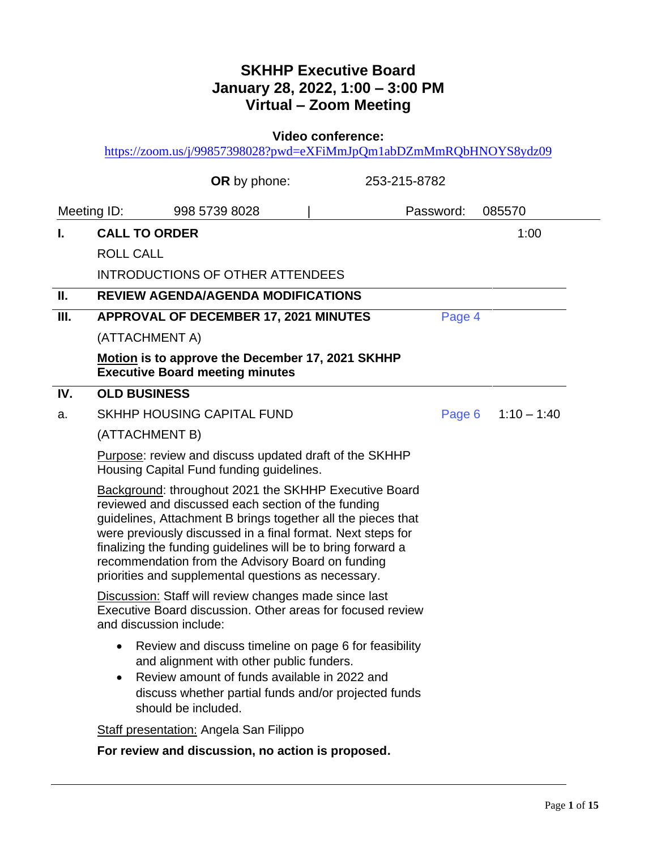# **SKHHP Executive Board January 28, 2022, 1:00 – 3:00 PM Virtual – Zoom Meeting**

**Video conference:** 

<https://zoom.us/j/99857398028?pwd=eXFiMmJpQm1abDZmMmRQbHNOYS8ydz09>

|     |                         | <b>OR</b> by phone:                                                                                                                                                                                                                                                                                                                                                                                                    | 253-215-8782 |           |                      |
|-----|-------------------------|------------------------------------------------------------------------------------------------------------------------------------------------------------------------------------------------------------------------------------------------------------------------------------------------------------------------------------------------------------------------------------------------------------------------|--------------|-----------|----------------------|
|     | Meeting ID:             | 998 5739 8028                                                                                                                                                                                                                                                                                                                                                                                                          |              | Password: | 085570               |
| L.  | <b>CALL TO ORDER</b>    |                                                                                                                                                                                                                                                                                                                                                                                                                        |              |           | 1:00                 |
|     | <b>ROLL CALL</b>        |                                                                                                                                                                                                                                                                                                                                                                                                                        |              |           |                      |
|     |                         | <b>INTRODUCTIONS OF OTHER ATTENDEES</b>                                                                                                                                                                                                                                                                                                                                                                                |              |           |                      |
| Ш.  |                         | <b>REVIEW AGENDA/AGENDA MODIFICATIONS</b>                                                                                                                                                                                                                                                                                                                                                                              |              |           |                      |
| Ш.  |                         | <b>APPROVAL OF DECEMBER 17, 2021 MINUTES</b>                                                                                                                                                                                                                                                                                                                                                                           |              | Page 4    |                      |
|     | (ATTACHMENT A)          |                                                                                                                                                                                                                                                                                                                                                                                                                        |              |           |                      |
|     |                         | Motion is to approve the December 17, 2021 SKHHP<br><b>Executive Board meeting minutes</b>                                                                                                                                                                                                                                                                                                                             |              |           |                      |
| IV. | <b>OLD BUSINESS</b>     |                                                                                                                                                                                                                                                                                                                                                                                                                        |              |           |                      |
| a.  |                         | <b>SKHHP HOUSING CAPITAL FUND</b>                                                                                                                                                                                                                                                                                                                                                                                      |              |           | Page 6 $1:10 - 1:40$ |
|     | (ATTACHMENT B)          |                                                                                                                                                                                                                                                                                                                                                                                                                        |              |           |                      |
|     |                         | Purpose: review and discuss updated draft of the SKHHP<br>Housing Capital Fund funding guidelines.                                                                                                                                                                                                                                                                                                                     |              |           |                      |
|     |                         | Background: throughout 2021 the SKHHP Executive Board<br>reviewed and discussed each section of the funding<br>guidelines, Attachment B brings together all the pieces that<br>were previously discussed in a final format. Next steps for<br>finalizing the funding guidelines will be to bring forward a<br>recommendation from the Advisory Board on funding<br>priorities and supplemental questions as necessary. |              |           |                      |
|     | and discussion include: | <b>Discussion: Staff will review changes made since last</b><br>Executive Board discussion. Other areas for focused review                                                                                                                                                                                                                                                                                             |              |           |                      |
|     | $\bullet$               | Review and discuss timeline on page 6 for feasibility<br>and alignment with other public funders.<br>Review amount of funds available in 2022 and<br>discuss whether partial funds and/or projected funds<br>should be included.                                                                                                                                                                                       |              |           |                      |
|     |                         | <b>Staff presentation: Angela San Filippo</b>                                                                                                                                                                                                                                                                                                                                                                          |              |           |                      |
|     |                         | For review and discussion, no action is proposed.                                                                                                                                                                                                                                                                                                                                                                      |              |           |                      |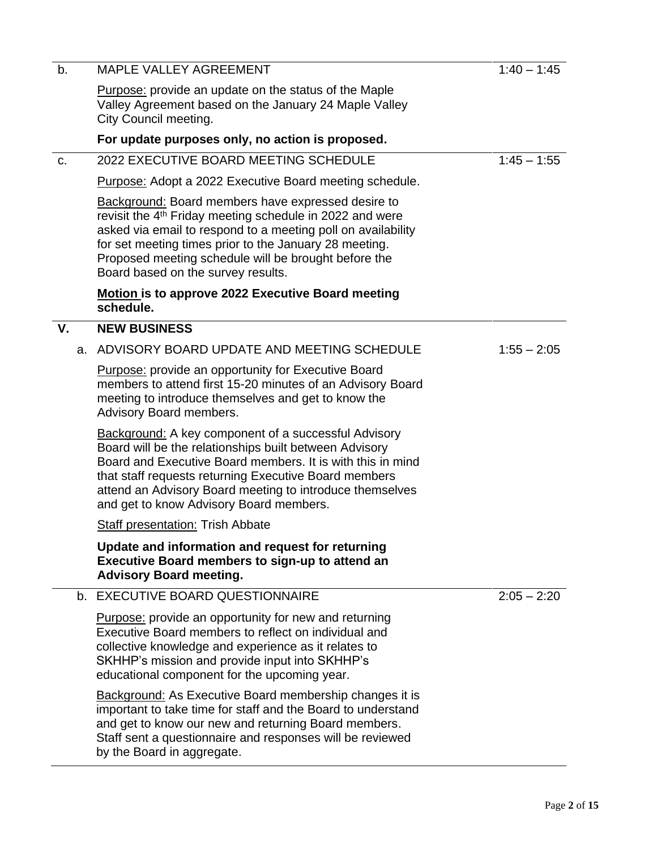| b. |    | <b>MAPLE VALLEY AGREEMENT</b>                                                                                                                                                                                                                                                                                                                             | $1:40 - 1:45$ |
|----|----|-----------------------------------------------------------------------------------------------------------------------------------------------------------------------------------------------------------------------------------------------------------------------------------------------------------------------------------------------------------|---------------|
|    |    | <b>Purpose:</b> provide an update on the status of the Maple<br>Valley Agreement based on the January 24 Maple Valley<br>City Council meeting.                                                                                                                                                                                                            |               |
|    |    | For update purposes only, no action is proposed.                                                                                                                                                                                                                                                                                                          |               |
| C. |    | 2022 EXECUTIVE BOARD MEETING SCHEDULE                                                                                                                                                                                                                                                                                                                     | $1:45 - 1:55$ |
|    |    | Purpose: Adopt a 2022 Executive Board meeting schedule.                                                                                                                                                                                                                                                                                                   |               |
|    |    | <b>Background: Board members have expressed desire to</b><br>revisit the 4 <sup>th</sup> Friday meeting schedule in 2022 and were<br>asked via email to respond to a meeting poll on availability<br>for set meeting times prior to the January 28 meeting.<br>Proposed meeting schedule will be brought before the<br>Board based on the survey results. |               |
|    |    | <b>Motion is to approve 2022 Executive Board meeting</b><br>schedule.                                                                                                                                                                                                                                                                                     |               |
| V. |    | <b>NEW BUSINESS</b>                                                                                                                                                                                                                                                                                                                                       |               |
|    | а. | ADVISORY BOARD UPDATE AND MEETING SCHEDULE                                                                                                                                                                                                                                                                                                                | $1:55 - 2:05$ |
|    |    | <b>Purpose:</b> provide an opportunity for Executive Board<br>members to attend first 15-20 minutes of an Advisory Board<br>meeting to introduce themselves and get to know the<br>Advisory Board members.                                                                                                                                                |               |
|    |    | <b>Background:</b> A key component of a successful Advisory<br>Board will be the relationships built between Advisory<br>Board and Executive Board members. It is with this in mind<br>that staff requests returning Executive Board members<br>attend an Advisory Board meeting to introduce themselves<br>and get to know Advisory Board members.       |               |
|    |    | <b>Staff presentation: Trish Abbate</b>                                                                                                                                                                                                                                                                                                                   |               |
|    |    | Update and information and request for returning<br>Executive Board members to sign-up to attend an<br><b>Advisory Board meeting.</b>                                                                                                                                                                                                                     |               |
|    |    | b. EXECUTIVE BOARD QUESTIONNAIRE                                                                                                                                                                                                                                                                                                                          | $2:05 - 2:20$ |
|    |    | <b>Purpose:</b> provide an opportunity for new and returning<br>Executive Board members to reflect on individual and<br>collective knowledge and experience as it relates to<br>SKHHP's mission and provide input into SKHHP's<br>educational component for the upcoming year.                                                                            |               |
|    |    | <b>Background:</b> As Executive Board membership changes it is<br>important to take time for staff and the Board to understand<br>and get to know our new and returning Board members.<br>Staff sent a questionnaire and responses will be reviewed<br>by the Board in aggregate.                                                                         |               |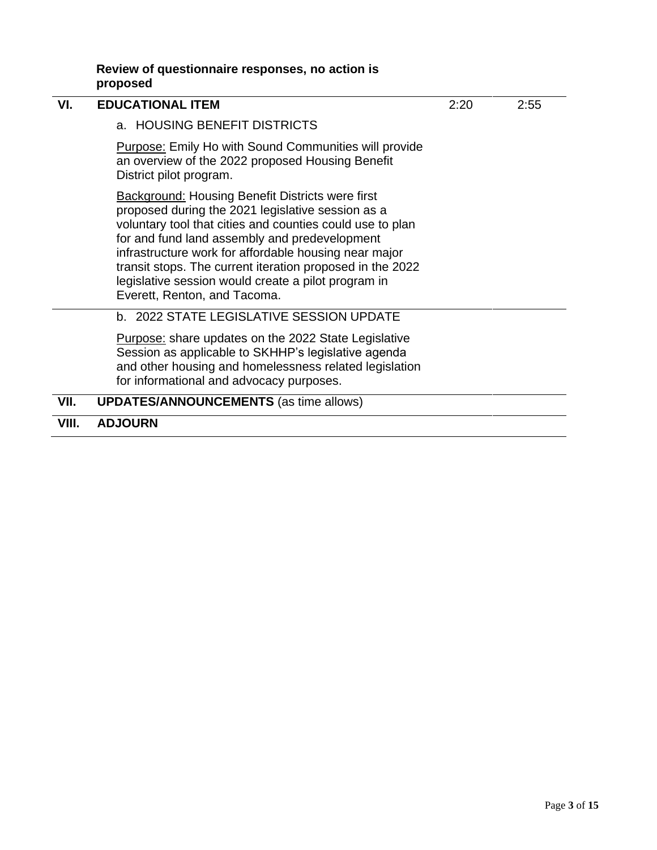| Review of questionnaire responses, no action is |  |  |
|-------------------------------------------------|--|--|
| proposed                                        |  |  |

| VI.   | <b>EDUCATIONAL ITEM</b>                                                                                                                                                                                                                                                                                                                                                                                                                 | 2:20 | 2:55 |
|-------|-----------------------------------------------------------------------------------------------------------------------------------------------------------------------------------------------------------------------------------------------------------------------------------------------------------------------------------------------------------------------------------------------------------------------------------------|------|------|
|       | a. HOUSING BENEFIT DISTRICTS                                                                                                                                                                                                                                                                                                                                                                                                            |      |      |
|       | <b>Purpose: Emily Ho with Sound Communities will provide</b><br>an overview of the 2022 proposed Housing Benefit<br>District pilot program.                                                                                                                                                                                                                                                                                             |      |      |
|       | <b>Background: Housing Benefit Districts were first</b><br>proposed during the 2021 legislative session as a<br>voluntary tool that cities and counties could use to plan<br>for and fund land assembly and predevelopment<br>infrastructure work for affordable housing near major<br>transit stops. The current iteration proposed in the 2022<br>legislative session would create a pilot program in<br>Everett, Renton, and Tacoma. |      |      |
|       | b. 2022 STATE LEGISLATIVE SESSION UPDATE                                                                                                                                                                                                                                                                                                                                                                                                |      |      |
|       | <b>Purpose:</b> share updates on the 2022 State Legislative<br>Session as applicable to SKHHP's legislative agenda<br>and other housing and homelessness related legislation<br>for informational and advocacy purposes.                                                                                                                                                                                                                |      |      |
| VII.  | <b>UPDATES/ANNOUNCEMENTS</b> (as time allows)                                                                                                                                                                                                                                                                                                                                                                                           |      |      |
| VIII. | <b>ADJOURN</b>                                                                                                                                                                                                                                                                                                                                                                                                                          |      |      |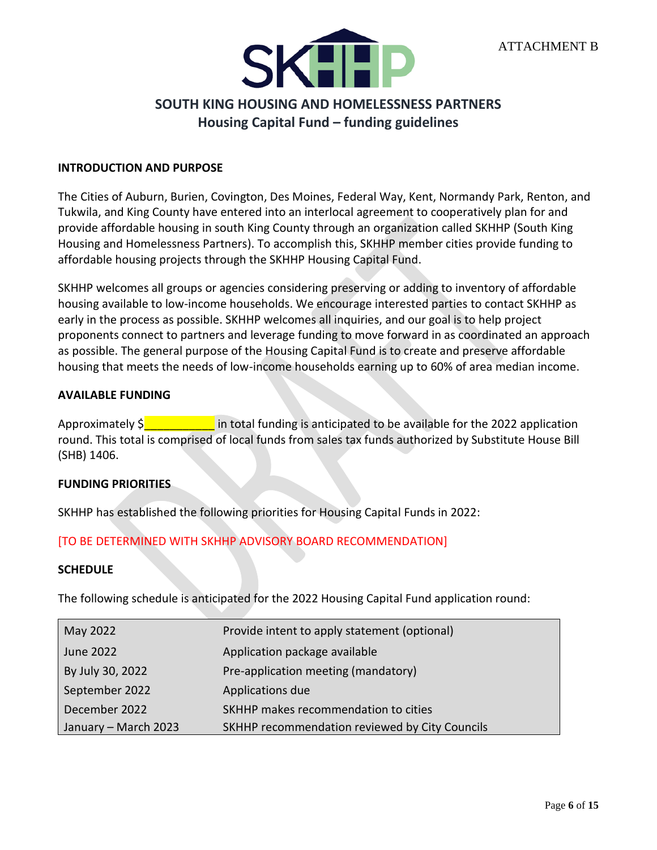

# **SOUTH KING HOUSING AND HOMELESSNESS PARTNERS Housing Capital Fund – funding guidelines**

#### <span id="page-3-0"></span>**INTRODUCTION AND PURPOSE**

The Cities of Auburn, Burien, Covington, Des Moines, Federal Way, Kent, Normandy Park, Renton, and Tukwila, and King County have entered into an interlocal agreement to cooperatively plan for and provide affordable housing in south King County through an organization called SKHHP (South King Housing and Homelessness Partners). To accomplish this, SKHHP member cities provide funding to affordable housing projects through the SKHHP Housing Capital Fund.

SKHHP welcomes all groups or agencies considering preserving or adding to inventory of affordable housing available to low-income households. We encourage interested parties to contact SKHHP as early in the process as possible. SKHHP welcomes all inquiries, and our goal is to help project proponents connect to partners and leverage funding to move forward in as coordinated an approach as possible. The general purpose of the Housing Capital Fund is to create and preserve affordable housing that meets the needs of low-income households earning up to 60% of area median income.

## **AVAILABLE FUNDING**

Approximately  $\frac{1}{5}$  in total funding is anticipated to be available for the 2022 application round. This total is comprised of local funds from sales tax funds authorized by Substitute House Bill (SHB) 1406.

#### **FUNDING PRIORITIES**

SKHHP has established the following priorities for Housing Capital Funds in 2022:

# [TO BE DETERMINED WITH SKHHP ADVISORY BOARD RECOMMENDATION]

#### **SCHEDULE**

The following schedule is anticipated for the 2022 Housing Capital Fund application round:

| May 2022             | Provide intent to apply statement (optional)   |
|----------------------|------------------------------------------------|
| June 2022            | Application package available                  |
| By July 30, 2022     | Pre-application meeting (mandatory)            |
| September 2022       | Applications due                               |
| December 2022        | SKHHP makes recommendation to cities           |
| January - March 2023 | SKHHP recommendation reviewed by City Councils |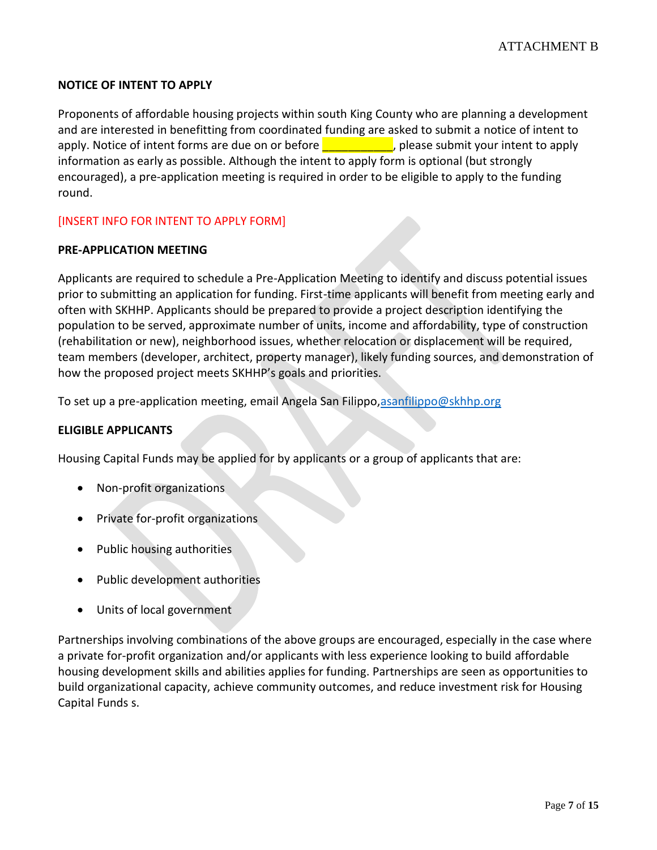# **NOTICE OF INTENT TO APPLY**

Proponents of affordable housing projects within south King County who are planning a development and are interested in benefitting from coordinated funding are asked to submit a notice of intent to apply. Notice of intent forms are due on or before **Election Lines and Supply**, please submit your intent to apply information as early as possible. Although the intent to apply form is optional (but strongly encouraged), a pre-application meeting is required in order to be eligible to apply to the funding round.

[INSERT INFO FOR INTENT TO APPLY FORM]

## **PRE-APPLICATION MEETING**

Applicants are required to schedule a Pre-Application Meeting to identify and discuss potential issues prior to submitting an application for funding. First-time applicants will benefit from meeting early and often with SKHHP. Applicants should be prepared to provide a project description identifying the population to be served, approximate number of units, income and affordability, type of construction (rehabilitation or new), neighborhood issues, whether relocation or displacement will be required, team members (developer, architect, property manager), likely funding sources, and demonstration of how the proposed project meets SKHHP's goals and priorities.

To set up a pre-application meeting, email Angela San Filippo[,asanfilippo@skhhp.org](mailto:asanfilippo@skhhp.org)

#### **ELIGIBLE APPLICANTS**

Housing Capital Funds may be applied for by applicants or a group of applicants that are:

- Non-profit organizations
- Private for-profit organizations
- Public housing authorities
- Public development authorities
- Units of local government

Partnerships involving combinations of the above groups are encouraged, especially in the case where a private for-profit organization and/or applicants with less experience looking to build affordable housing development skills and abilities applies for funding. Partnerships are seen as opportunities to build organizational capacity, achieve community outcomes, and reduce investment risk for Housing Capital Funds s.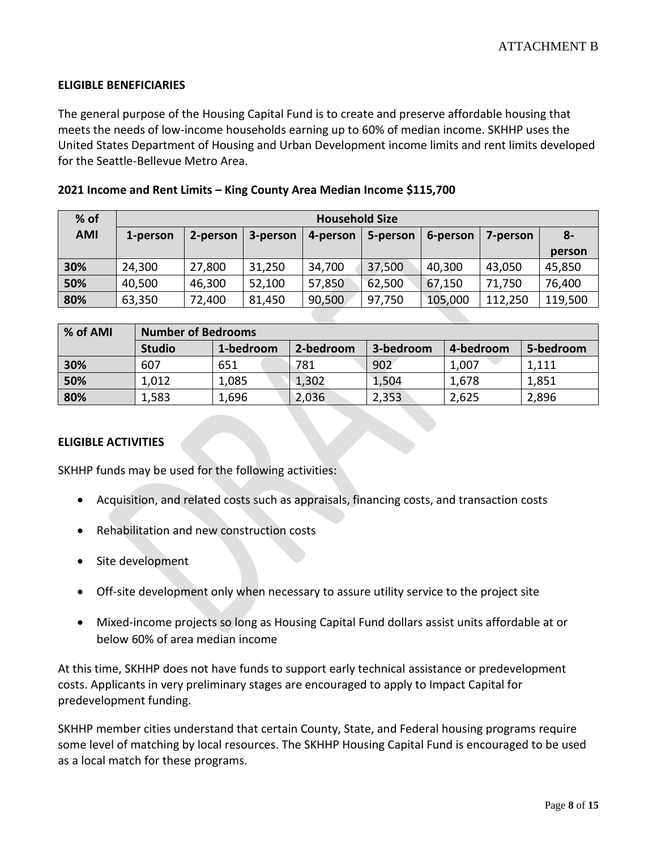## **ELIGIBLE BENEFICIARIES**

The general purpose of the Housing Capital Fund is to create and preserve affordable housing that meets the needs of low-income households earning up to 60% of median income. SKHHP uses the United States Department of Housing and Urban Development income limits and rent limits developed for the Seattle-Bellevue Metro Area.

|  |  |  |  | 2021 Income and Rent Limits - King County Area Median Income \$115,700 |
|--|--|--|--|------------------------------------------------------------------------|
|--|--|--|--|------------------------------------------------------------------------|

| $%$ of     | <b>Household Size</b> |          |          |          |          |          |          |         |
|------------|-----------------------|----------|----------|----------|----------|----------|----------|---------|
| <b>AMI</b> | 1-person              | 2-person | 3-person | 4-person | 5-person | 6-person | 7-person | $8-$    |
|            |                       |          |          |          |          |          |          | person  |
| 30%        | 24,300                | 27,800   | 31,250   | 34,700   | 37,500   | 40,300   | 43,050   | 45,850  |
| 50%        | 40,500                | 46,300   | 52,100   | 57,850   | 62,500   | 67,150   | 71,750   | 76,400  |
| 80%        | 63,350                | 72,400   | 81,450   | 90,500   | 97,750   | 105,000  | 112,250  | 119,500 |

| % of AMI | <b>Number of Bedrooms</b> |           |           |           |           |           |  |  |
|----------|---------------------------|-----------|-----------|-----------|-----------|-----------|--|--|
|          | <b>Studio</b>             | 1-bedroom | 2-bedroom | 3-bedroom | 4-bedroom | 5-bedroom |  |  |
| 30%      | 607                       | 651       | 781       | 902       | 1,007     | 1,111     |  |  |
| 50%      | 1,012                     | 1,085     | 1,302     | 1,504     | 1,678     | 1,851     |  |  |
| 80%      | 1,583                     | 1,696     | 2,036     | 2,353     | 2,625     | 2,896     |  |  |

#### **ELIGIBLE ACTIVITIES**

SKHHP funds may be used for the following activities:

- Acquisition, and related costs such as appraisals, financing costs, and transaction costs
- Rehabilitation and new construction costs
- Site development
- Off-site development only when necessary to assure utility service to the project site
- Mixed-income projects so long as Housing Capital Fund dollars assist units affordable at or below 60% of area median income

At this time, SKHHP does not have funds to support early technical assistance or predevelopment costs. Applicants in very preliminary stages are encouraged to apply to Impact Capital for predevelopment funding.

SKHHP member cities understand that certain County, State, and Federal housing programs require some level of matching by local resources. The SKHHP Housing Capital Fund is encouraged to be used as a local match for these programs.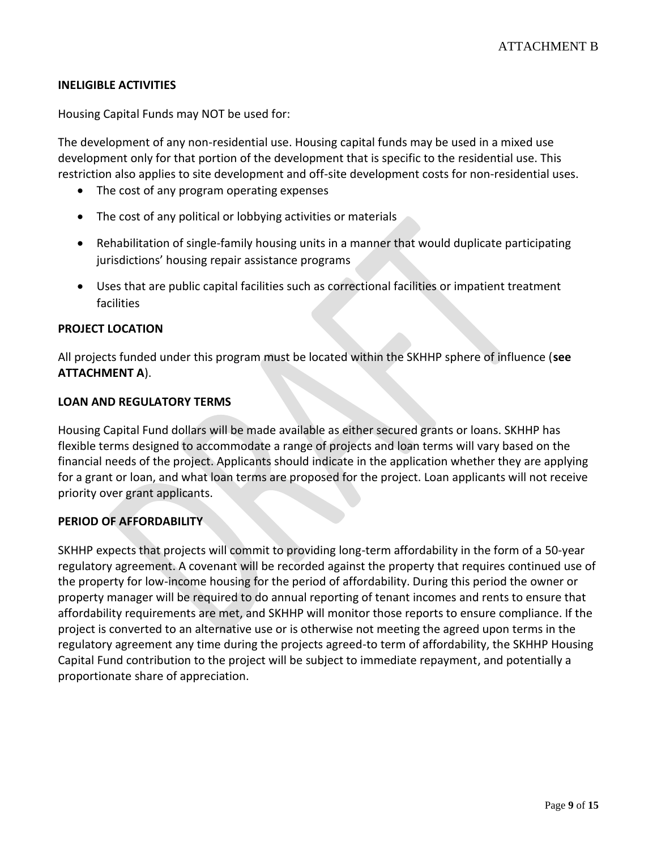## **INELIGIBLE ACTIVITIES**

Housing Capital Funds may NOT be used for:

The development of any non-residential use. Housing capital funds may be used in a mixed use development only for that portion of the development that is specific to the residential use. This restriction also applies to site development and off-site development costs for non-residential uses.

- The cost of any program operating expenses
- The cost of any political or lobbying activities or materials
- Rehabilitation of single-family housing units in a manner that would duplicate participating jurisdictions' housing repair assistance programs
- Uses that are public capital facilities such as correctional facilities or impatient treatment facilities

#### **PROJECT LOCATION**

All projects funded under this program must be located within the SKHHP sphere of influence (**see ATTACHMENT A**).

## **LOAN AND REGULATORY TERMS**

Housing Capital Fund dollars will be made available as either secured grants or loans. SKHHP has flexible terms designed to accommodate a range of projects and loan terms will vary based on the financial needs of the project. Applicants should indicate in the application whether they are applying for a grant or loan, and what loan terms are proposed for the project. Loan applicants will not receive priority over grant applicants.

#### **PERIOD OF AFFORDABILITY**

SKHHP expects that projects will commit to providing long-term affordability in the form of a 50-year regulatory agreement. A covenant will be recorded against the property that requires continued use of the property for low-income housing for the period of affordability. During this period the owner or property manager will be required to do annual reporting of tenant incomes and rents to ensure that affordability requirements are met, and SKHHP will monitor those reports to ensure compliance. If the project is converted to an alternative use or is otherwise not meeting the agreed upon terms in the regulatory agreement any time during the projects agreed-to term of affordability, the SKHHP Housing Capital Fund contribution to the project will be subject to immediate repayment, and potentially a proportionate share of appreciation.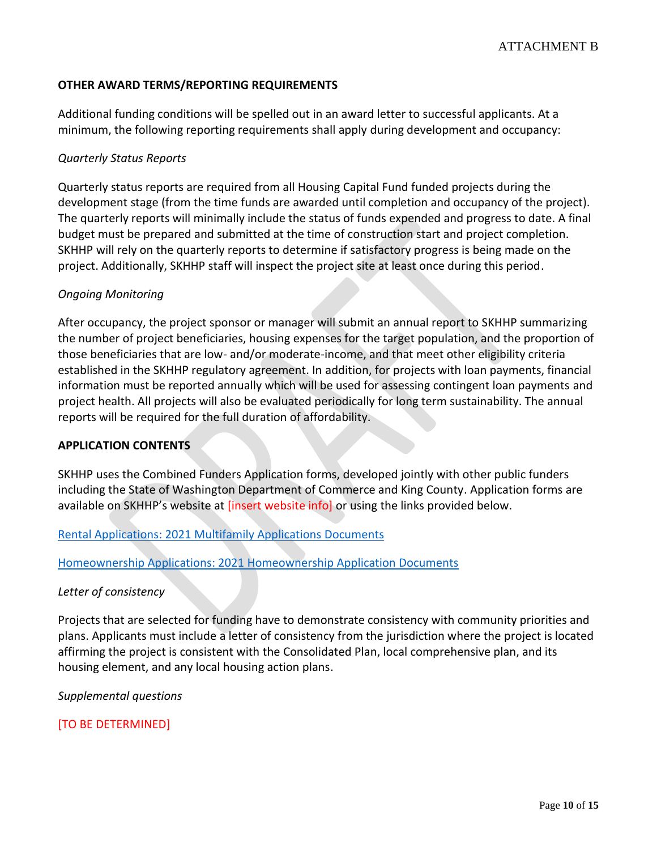# **OTHER AWARD TERMS/REPORTING REQUIREMENTS**

Additional funding conditions will be spelled out in an award letter to successful applicants. At a minimum, the following reporting requirements shall apply during development and occupancy:

#### *Quarterly Status Reports*

Quarterly status reports are required from all Housing Capital Fund funded projects during the development stage (from the time funds are awarded until completion and occupancy of the project). The quarterly reports will minimally include the status of funds expended and progress to date. A final budget must be prepared and submitted at the time of construction start and project completion. SKHHP will rely on the quarterly reports to determine if satisfactory progress is being made on the project. Additionally, SKHHP staff will inspect the project site at least once during this period.

## *Ongoing Monitoring*

After occupancy, the project sponsor or manager will submit an annual report to SKHHP summarizing the number of project beneficiaries, housing expenses for the target population, and the proportion of those beneficiaries that are low- and/or moderate-income, and that meet other eligibility criteria established in the SKHHP regulatory agreement. In addition, for projects with loan payments, financial information must be reported annually which will be used for assessing contingent loan payments and project health. All projects will also be evaluated periodically for long term sustainability. The annual reports will be required for the full duration of affordability.

#### **APPLICATION CONTENTS**

SKHHP uses the Combined Funders Application forms, developed jointly with other public funders including the State of Washington Department of Commerce and King County. Application forms are available on SKHHP's website at *[insert website info]* or using the links provided below.

#### [Rental Applications: 2021 Multifamily Applications Documents](https://deptofcommerce.app.box.com/s/7wheoyj07215lh2prjbmmk8g33ob75d4/folder/139359656537)

[Homeownership Applications: 2021 Homeownership Application Documents](https://deptofcommerce.app.box.com/s/7wheoyj07215lh2prjbmmk8g33ob75d4/folder/139359953928)

#### *Letter of consistency*

Projects that are selected for funding have to demonstrate consistency with community priorities and plans. Applicants must include a letter of consistency from the jurisdiction where the project is located affirming the project is consistent with the Consolidated Plan, local comprehensive plan, and its housing element, and any local housing action plans.

*Supplemental questions*

[TO BE DETERMINED]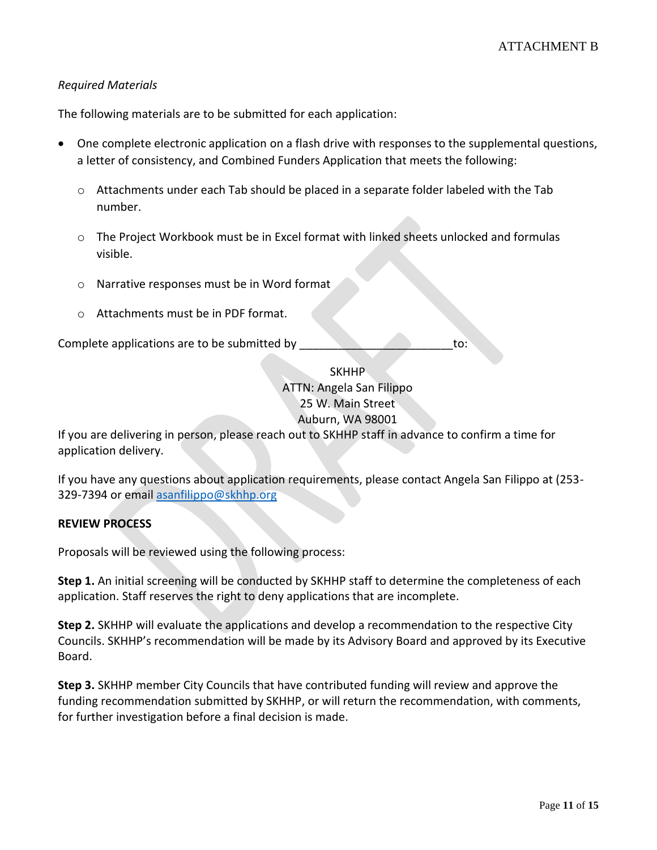# *Required Materials*

The following materials are to be submitted for each application:

- One complete electronic application on a flash drive with responses to the supplemental questions, a letter of consistency, and Combined Funders Application that meets the following:
	- $\circ$  Attachments under each Tab should be placed in a separate folder labeled with the Tab number.
	- o The Project Workbook must be in Excel format with linked sheets unlocked and formulas visible.
	- o Narrative responses must be in Word format
	- o Attachments must be in PDF format.

Complete applications are to be submitted by to: to:

**SKHHP** ATTN: Angela San Filippo 25 W. Main Street Auburn, WA 98001

If you are delivering in person, please reach out to SKHHP staff in advance to confirm a time for application delivery.

If you have any questions about application requirements, please contact Angela San Filippo at (253 329-7394 or emai[l asanfilippo@skhhp.org](mailto:asanfilippo@skhhp.org)

# **REVIEW PROCESS**

Proposals will be reviewed using the following process:

**Step 1.** An initial screening will be conducted by SKHHP staff to determine the completeness of each application. Staff reserves the right to deny applications that are incomplete.

**Step 2.** SKHHP will evaluate the applications and develop a recommendation to the respective City Councils. SKHHP's recommendation will be made by its Advisory Board and approved by its Executive Board.

**Step 3.** SKHHP member City Councils that have contributed funding will review and approve the funding recommendation submitted by SKHHP, or will return the recommendation, with comments, for further investigation before a final decision is made.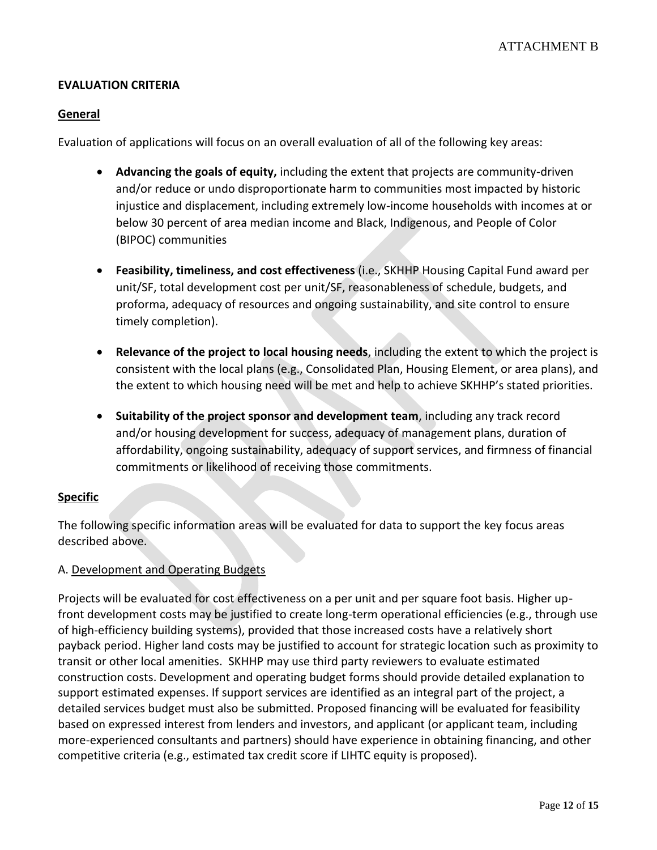# **EVALUATION CRITERIA**

# **General**

Evaluation of applications will focus on an overall evaluation of all of the following key areas:

- **Advancing the goals of equity,** including the extent that projects are community-driven and/or reduce or undo disproportionate harm to communities most impacted by historic injustice and displacement, including extremely low-income households with incomes at or below 30 percent of area median income and Black, Indigenous, and People of Color (BIPOC) communities
- **Feasibility, timeliness, and cost effectiveness** (i.e., SKHHP Housing Capital Fund award per unit/SF, total development cost per unit/SF, reasonableness of schedule, budgets, and proforma, adequacy of resources and ongoing sustainability, and site control to ensure timely completion).
- **Relevance of the project to local housing needs**, including the extent to which the project is consistent with the local plans (e.g., Consolidated Plan, Housing Element, or area plans), and the extent to which housing need will be met and help to achieve SKHHP's stated priorities.
- **Suitability of the project sponsor and development team**, including any track record and/or housing development for success, adequacy of management plans, duration of affordability, ongoing sustainability, adequacy of support services, and firmness of financial commitments or likelihood of receiving those commitments.

# **Specific**

The following specific information areas will be evaluated for data to support the key focus areas described above.

# A. Development and Operating Budgets

Projects will be evaluated for cost effectiveness on a per unit and per square foot basis. Higher upfront development costs may be justified to create long-term operational efficiencies (e.g., through use of high-efficiency building systems), provided that those increased costs have a relatively short payback period. Higher land costs may be justified to account for strategic location such as proximity to transit or other local amenities. SKHHP may use third party reviewers to evaluate estimated construction costs. Development and operating budget forms should provide detailed explanation to support estimated expenses. If support services are identified as an integral part of the project, a detailed services budget must also be submitted. Proposed financing will be evaluated for feasibility based on expressed interest from lenders and investors, and applicant (or applicant team, including more-experienced consultants and partners) should have experience in obtaining financing, and other competitive criteria (e.g., estimated tax credit score if LIHTC equity is proposed).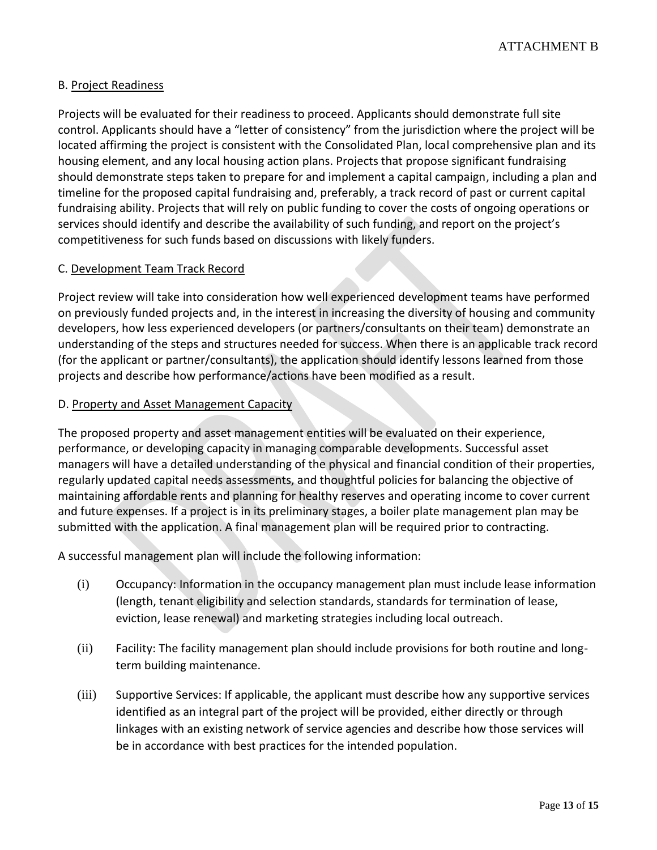# B. Project Readiness

Projects will be evaluated for their readiness to proceed. Applicants should demonstrate full site control. Applicants should have a "letter of consistency" from the jurisdiction where the project will be located affirming the project is consistent with the Consolidated Plan, local comprehensive plan and its housing element, and any local housing action plans. Projects that propose significant fundraising should demonstrate steps taken to prepare for and implement a capital campaign, including a plan and timeline for the proposed capital fundraising and, preferably, a track record of past or current capital fundraising ability. Projects that will rely on public funding to cover the costs of ongoing operations or services should identify and describe the availability of such funding, and report on the project's competitiveness for such funds based on discussions with likely funders.

## C. Development Team Track Record

Project review will take into consideration how well experienced development teams have performed on previously funded projects and, in the interest in increasing the diversity of housing and community developers, how less experienced developers (or partners/consultants on their team) demonstrate an understanding of the steps and structures needed for success. When there is an applicable track record (for the applicant or partner/consultants), the application should identify lessons learned from those projects and describe how performance/actions have been modified as a result.

## D. Property and Asset Management Capacity

The proposed property and asset management entities will be evaluated on their experience, performance, or developing capacity in managing comparable developments. Successful asset managers will have a detailed understanding of the physical and financial condition of their properties, regularly updated capital needs assessments, and thoughtful policies for balancing the objective of maintaining affordable rents and planning for healthy reserves and operating income to cover current and future expenses. If a project is in its preliminary stages, a boiler plate management plan may be submitted with the application. A final management plan will be required prior to contracting.

A successful management plan will include the following information:

- (i) Occupancy: Information in the occupancy management plan must include lease information (length, tenant eligibility and selection standards, standards for termination of lease, eviction, lease renewal) and marketing strategies including local outreach.
- (ii) Facility: The facility management plan should include provisions for both routine and longterm building maintenance.
- (iii) Supportive Services: If applicable, the applicant must describe how any supportive services identified as an integral part of the project will be provided, either directly or through linkages with an existing network of service agencies and describe how those services will be in accordance with best practices for the intended population.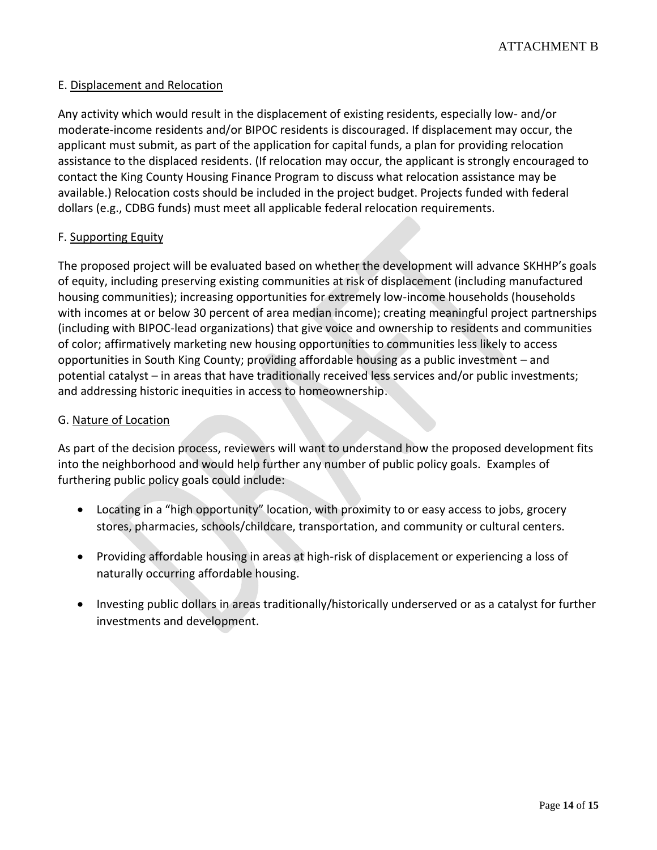# E. Displacement and Relocation

Any activity which would result in the displacement of existing residents, especially low- and/or moderate-income residents and/or BIPOC residents is discouraged. If displacement may occur, the applicant must submit, as part of the application for capital funds, a plan for providing relocation assistance to the displaced residents. (If relocation may occur, the applicant is strongly encouraged to contact the King County Housing Finance Program to discuss what relocation assistance may be available.) Relocation costs should be included in the project budget. Projects funded with federal dollars (e.g., CDBG funds) must meet all applicable federal relocation requirements.

#### F. Supporting Equity

The proposed project will be evaluated based on whether the development will advance SKHHP's goals of equity, including preserving existing communities at risk of displacement (including manufactured housing communities); increasing opportunities for extremely low-income households (households with incomes at or below 30 percent of area median income); creating meaningful project partnerships (including with BIPOC-lead organizations) that give voice and ownership to residents and communities of color; affirmatively marketing new housing opportunities to communities less likely to access opportunities in South King County; providing affordable housing as a public investment – and potential catalyst – in areas that have traditionally received less services and/or public investments; and addressing historic inequities in access to homeownership.

#### G. Nature of Location

As part of the decision process, reviewers will want to understand how the proposed development fits into the neighborhood and would help further any number of public policy goals. Examples of furthering public policy goals could include:

- Locating in a "high opportunity" location, with proximity to or easy access to jobs, grocery stores, pharmacies, schools/childcare, transportation, and community or cultural centers.
- Providing affordable housing in areas at high-risk of displacement or experiencing a loss of naturally occurring affordable housing.
- Investing public dollars in areas traditionally/historically underserved or as a catalyst for further investments and development.